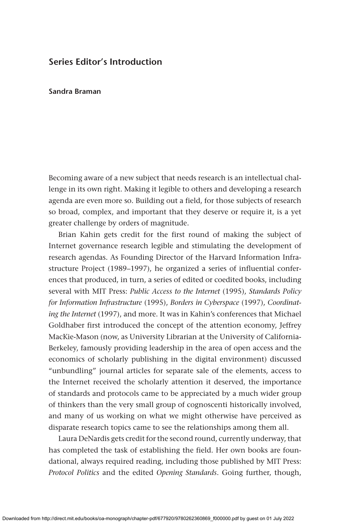## **Series Editor's Introduction**

## **Sandra Braman**

Becoming aware of a new subject that needs research is an intellectual challenge in its own right. Making it legible to others and developing a research agenda are even more so. Building out a field, for those subjects of research so broad, complex, and important that they deserve or require it, is a yet greater challenge by orders of magnitude.

Brian Kahin gets credit for the first round of making the subject of Internet governance research legible and stimulating the development of research agendas. As Founding Director of the Harvard Information Infrastructure Project (1989–1997), he organized a series of influential conferences that produced, in turn, a series of edited or coedited books, including several with MIT Press: *Public Access to the Internet* (1995), *Standards Policy for Information Infrastructure* (1995), *Borders in Cyberspace* (1997), *Coordinating the Internet* (1997), and more. It was in Kahin's conferences that Michael Goldhaber first introduced the concept of the attention economy, Jeffrey MacKie-Mason (now, as University Librarian at the University of California-Berkeley, famously providing leadership in the area of open access and the economics of scholarly publishing in the digital environment) discussed "unbundling" journal articles for separate sale of the elements, access to the Internet received the scholarly attention it deserved, the importance of standards and protocols came to be appreciated by a much wider group of thinkers than the very small group of cognoscenti historically involved, and many of us working on what we might otherwise have perceived as disparate research topics came to see the relationships among them all.

Laura DeNardis gets credit for the second round, currently underway, that has completed the task of establishing the field. Her own books are foundational, always required reading, including those published by MIT Press: *Protocol Politics* and the edited *Opening Standards*. Going further, though,